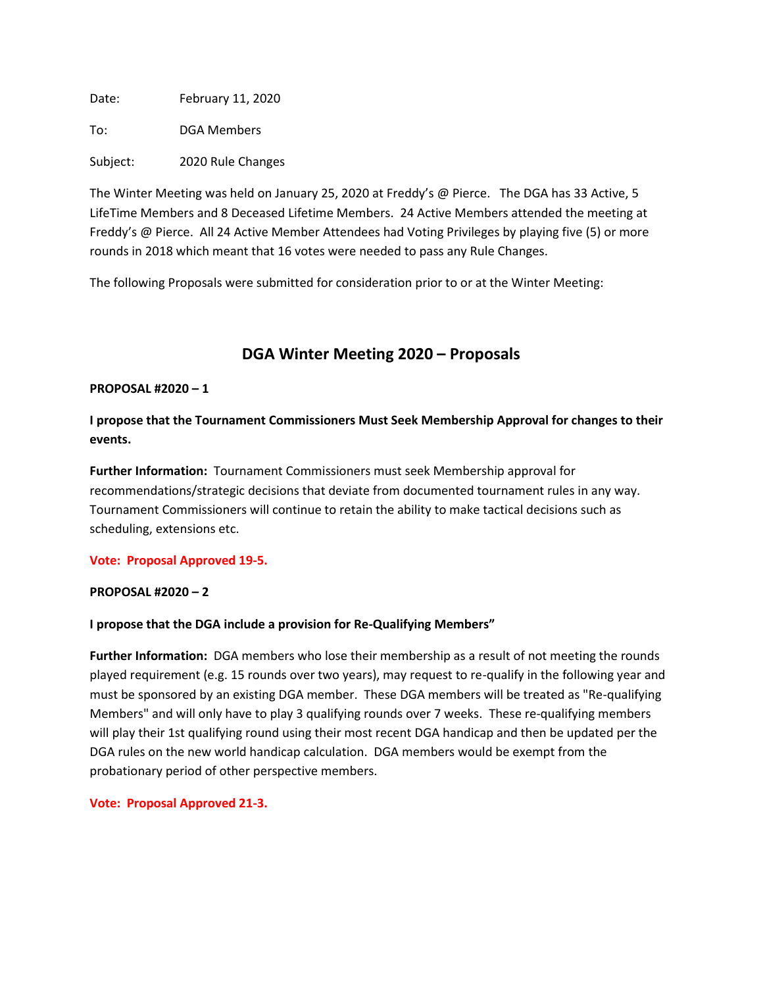Date: February 11, 2020

To: DGA Members

Subject: 2020 Rule Changes

The Winter Meeting was held on January 25, 2020 at Freddy's @ Pierce. The DGA has 33 Active, 5 LifeTime Members and 8 Deceased Lifetime Members. 24 Active Members attended the meeting at Freddy's @ Pierce. All 24 Active Member Attendees had Voting Privileges by playing five (5) or more rounds in 2018 which meant that 16 votes were needed to pass any Rule Changes.

The following Proposals were submitted for consideration prior to or at the Winter Meeting:

# **DGA Winter Meeting 2020 – Proposals**

## **PROPOSAL #2020 – 1**

**I propose that the Tournament Commissioners Must Seek Membership Approval for changes to their events.**

**Further Information:** Tournament Commissioners must seek Membership approval for recommendations/strategic decisions that deviate from documented tournament rules in any way. Tournament Commissioners will continue to retain the ability to make tactical decisions such as scheduling, extensions etc.

## **Vote: Proposal Approved 19-5.**

## **PROPOSAL #2020 – 2**

## **I propose that the DGA include a provision for Re-Qualifying Members"**

**Further Information:** DGA members who lose their membership as a result of not meeting the rounds played requirement (e.g. 15 rounds over two years), may request to re-qualify in the following year and must be sponsored by an existing DGA member. These DGA members will be treated as "Re-qualifying Members" and will only have to play 3 qualifying rounds over 7 weeks. These re-qualifying members will play their 1st qualifying round using their most recent DGA handicap and then be updated per the DGA rules on the new world handicap calculation. DGA members would be exempt from the probationary period of other perspective members.

**Vote: Proposal Approved 21-3.**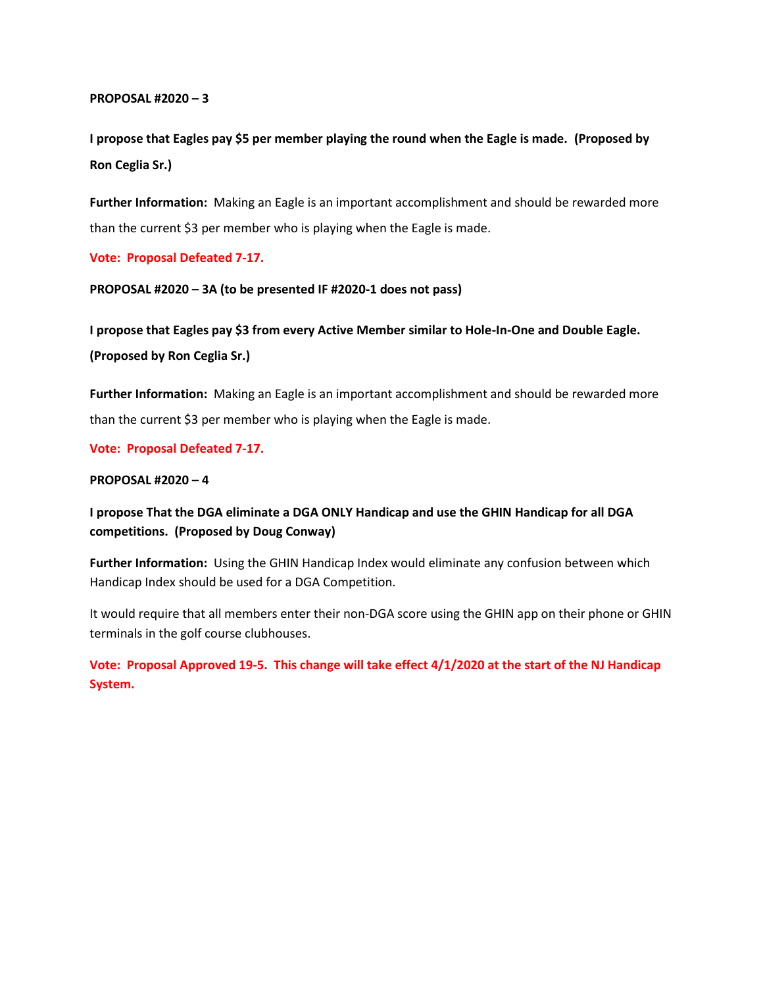**I propose that Eagles pay \$5 per member playing the round when the Eagle is made. (Proposed by Ron Ceglia Sr.)**

**Further Information:** Making an Eagle is an important accomplishment and should be rewarded more than the current \$3 per member who is playing when the Eagle is made.

**Vote: Proposal Defeated 7-17.**

**PROPOSAL #2020 – 3A (to be presented IF #2020-1 does not pass)**

**I propose that Eagles pay \$3 from every Active Member similar to Hole-In-One and Double Eagle. (Proposed by Ron Ceglia Sr.)**

**Further Information:** Making an Eagle is an important accomplishment and should be rewarded more than the current \$3 per member who is playing when the Eagle is made.

**Vote: Proposal Defeated 7-17.**

#### **PROPOSAL #2020 – 4**

**I propose That the DGA eliminate a DGA ONLY Handicap and use the GHIN Handicap for all DGA competitions. (Proposed by Doug Conway)**

**Further Information:** Using the GHIN Handicap Index would eliminate any confusion between which Handicap Index should be used for a DGA Competition.

It would require that all members enter their non-DGA score using the GHIN app on their phone or GHIN terminals in the golf course clubhouses.

**Vote: Proposal Approved 19-5. This change will take effect 4/1/2020 at the start of the NJ Handicap System.**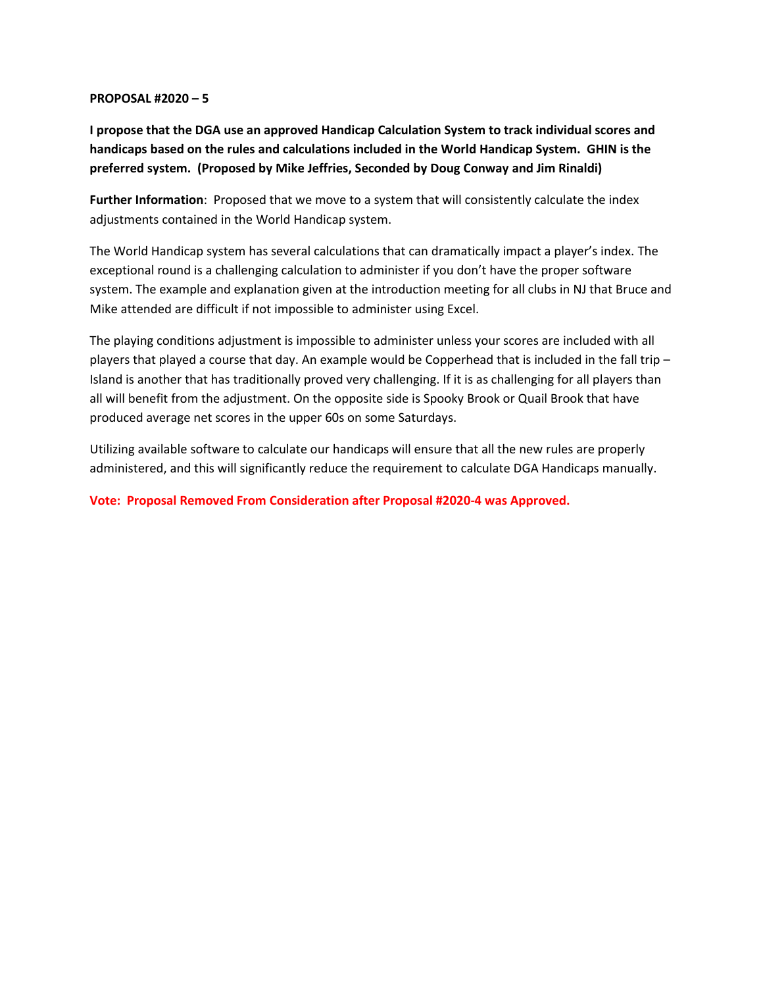**I propose that the DGA use an approved Handicap Calculation System to track individual scores and handicaps based on the rules and calculations included in the World Handicap System. GHIN is the preferred system. (Proposed by Mike Jeffries, Seconded by Doug Conway and Jim Rinaldi)**

**Further Information**: Proposed that we move to a system that will consistently calculate the index adjustments contained in the World Handicap system.

The World Handicap system has several calculations that can dramatically impact a player's index. The exceptional round is a challenging calculation to administer if you don't have the proper software system. The example and explanation given at the introduction meeting for all clubs in NJ that Bruce and Mike attended are difficult if not impossible to administer using Excel.

The playing conditions adjustment is impossible to administer unless your scores are included with all players that played a course that day. An example would be Copperhead that is included in the fall trip – Island is another that has traditionally proved very challenging. If it is as challenging for all players than all will benefit from the adjustment. On the opposite side is Spooky Brook or Quail Brook that have produced average net scores in the upper 60s on some Saturdays.

Utilizing available software to calculate our handicaps will ensure that all the new rules are properly administered, and this will significantly reduce the requirement to calculate DGA Handicaps manually.

**Vote: Proposal Removed From Consideration after Proposal #2020-4 was Approved.**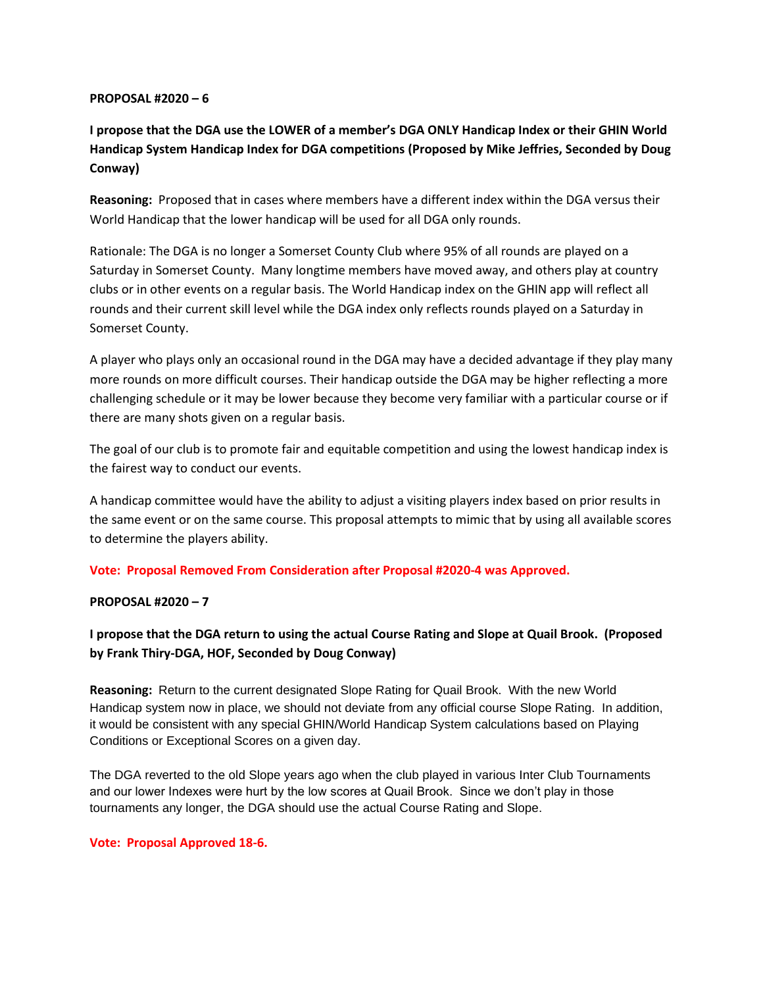**I propose that the DGA use the LOWER of a member's DGA ONLY Handicap Index or their GHIN World Handicap System Handicap Index for DGA competitions (Proposed by Mike Jeffries, Seconded by Doug Conway)**

**Reasoning:** Proposed that in cases where members have a different index within the DGA versus their World Handicap that the lower handicap will be used for all DGA only rounds.

Rationale: The DGA is no longer a Somerset County Club where 95% of all rounds are played on a Saturday in Somerset County. Many longtime members have moved away, and others play at country clubs or in other events on a regular basis. The World Handicap index on the GHIN app will reflect all rounds and their current skill level while the DGA index only reflects rounds played on a Saturday in Somerset County.

A player who plays only an occasional round in the DGA may have a decided advantage if they play many more rounds on more difficult courses. Their handicap outside the DGA may be higher reflecting a more challenging schedule or it may be lower because they become very familiar with a particular course or if there are many shots given on a regular basis.

The goal of our club is to promote fair and equitable competition and using the lowest handicap index is the fairest way to conduct our events.

A handicap committee would have the ability to adjust a visiting players index based on prior results in the same event or on the same course. This proposal attempts to mimic that by using all available scores to determine the players ability.

**Vote: Proposal Removed From Consideration after Proposal #2020-4 was Approved.**

## **PROPOSAL #2020 – 7**

**I propose that the DGA return to using the actual Course Rating and Slope at Quail Brook. (Proposed by Frank Thiry-DGA, HOF, Seconded by Doug Conway)**

**Reasoning:** Return to the current designated Slope Rating for Quail Brook. With the new World Handicap system now in place, we should not deviate from any official course Slope Rating. In addition, it would be consistent with any special GHIN/World Handicap System calculations based on Playing Conditions or Exceptional Scores on a given day.

The DGA reverted to the old Slope years ago when the club played in various Inter Club Tournaments and our lower Indexes were hurt by the low scores at Quail Brook. Since we don't play in those tournaments any longer, the DGA should use the actual Course Rating and Slope.

#### **Vote: Proposal Approved 18-6.**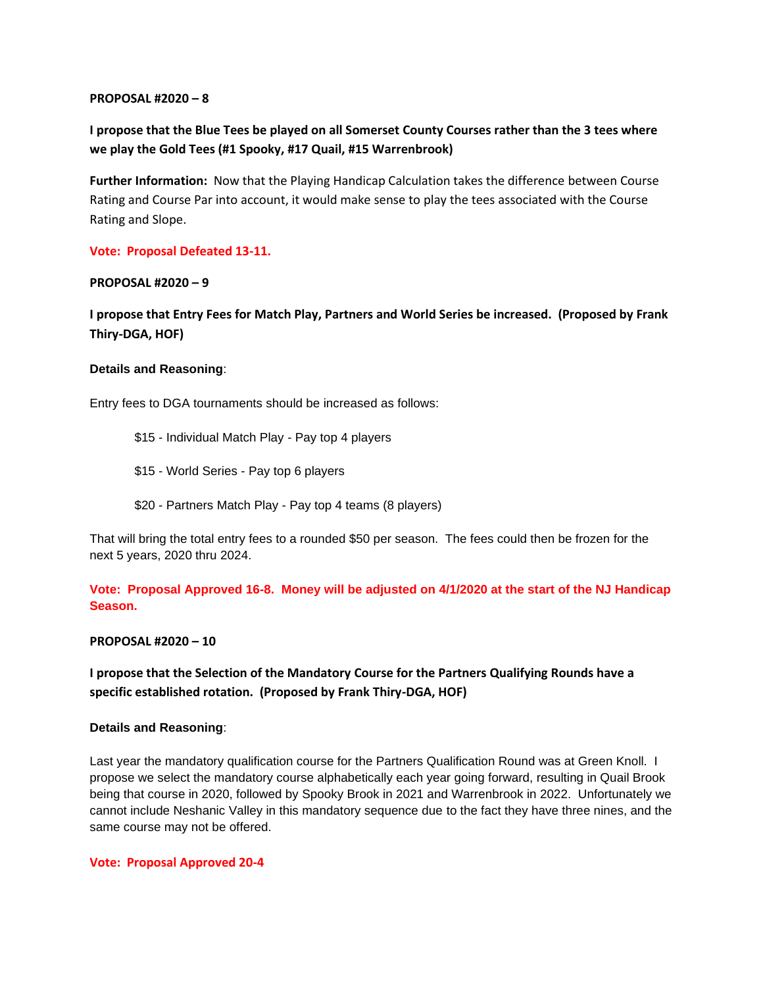## **I propose that the Blue Tees be played on all Somerset County Courses rather than the 3 tees where we play the Gold Tees (#1 Spooky, #17 Quail, #15 Warrenbrook)**

**Further Information:** Now that the Playing Handicap Calculation takes the difference between Course Rating and Course Par into account, it would make sense to play the tees associated with the Course Rating and Slope.

## **Vote: Proposal Defeated 13-11.**

## **PROPOSAL #2020 – 9**

**I propose that Entry Fees for Match Play, Partners and World Series be increased. (Proposed by Frank Thiry-DGA, HOF)**

## **Details and Reasoning**:

Entry fees to DGA tournaments should be increased as follows:

- \$15 Individual Match Play Pay top 4 players
- \$15 World Series Pay top 6 players
- \$20 Partners Match Play Pay top 4 teams (8 players)

That will bring the total entry fees to a rounded \$50 per season. The fees could then be frozen for the next 5 years, 2020 thru 2024.

## **Vote: Proposal Approved 16-8. Money will be adjusted on 4/1/2020 at the start of the NJ Handicap Season.**

#### **PROPOSAL #2020 – 10**

## **I propose that the Selection of the Mandatory Course for the Partners Qualifying Rounds have a specific established rotation. (Proposed by Frank Thiry-DGA, HOF)**

#### **Details and Reasoning**:

Last year the mandatory qualification course for the Partners Qualification Round was at Green Knoll. I propose we select the mandatory course alphabetically each year going forward, resulting in Quail Brook being that course in 2020, followed by Spooky Brook in 2021 and Warrenbrook in 2022. Unfortunately we cannot include Neshanic Valley in this mandatory sequence due to the fact they have three nines, and the same course may not be offered.

#### **Vote: Proposal Approved 20-4**